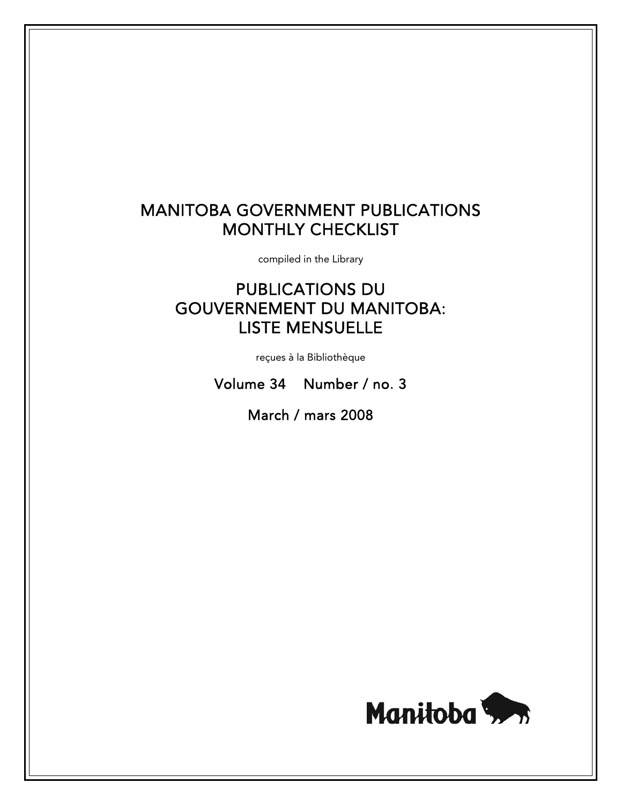# MANITOBA GOVERNMENT PUBLICATIONS MONTHLY CHECKLIST

compiled in the Library

# PUBLICATIONS DU GOUVERNEMENT DU MANITOBA: LISTE MENSUELLE

reçues à la Bibliothèque

Volume 34 Number / no. 3

March / mars 2008

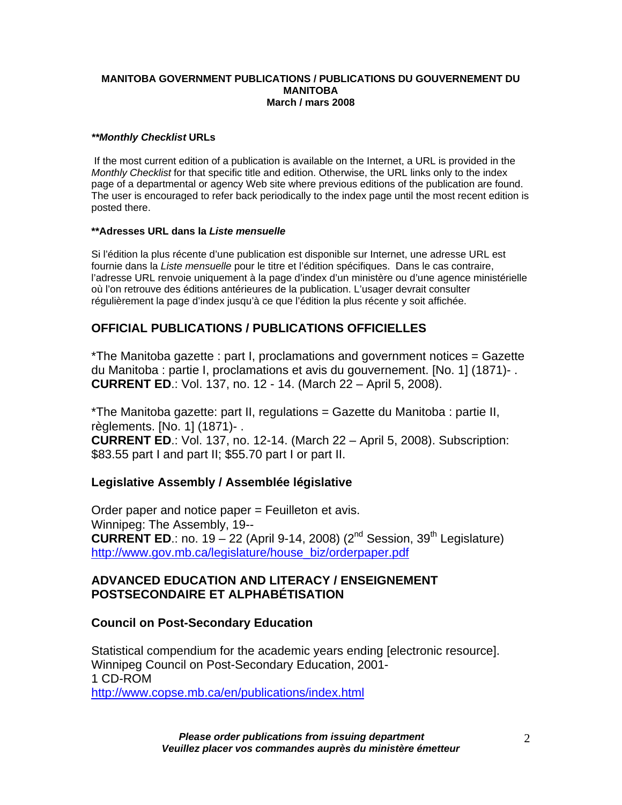#### **MANITOBA GOVERNMENT PUBLICATIONS / PUBLICATIONS DU GOUVERNEMENT DU MANITOBA March / mars 2008**

#### *\*\*Monthly Checklist* **URLs**

 If the most current edition of a publication is available on the Internet, a URL is provided in the *Monthly Checklist* for that specific title and edition. Otherwise, the URL links only to the index page of a departmental or agency Web site where previous editions of the publication are found. The user is encouraged to refer back periodically to the index page until the most recent edition is posted there.

#### **\*\*Adresses URL dans la** *Liste mensuelle*

Si l'édition la plus récente d'une publication est disponible sur Internet, une adresse URL est fournie dans la *Liste mensuelle* pour le titre et l'édition spécifiques. Dans le cas contraire, l'adresse URL renvoie uniquement à la page d'index d'un ministère ou d'une agence ministérielle où l'on retrouve des éditions antérieures de la publication. L'usager devrait consulter régulièrement la page d'index jusqu'à ce que l'édition la plus récente y soit affichée.

### **OFFICIAL PUBLICATIONS / PUBLICATIONS OFFICIELLES**

\*The Manitoba gazette : part I, proclamations and government notices = Gazette du Manitoba : partie I, proclamations et avis du gouvernement. [No. 1] (1871)- . **CURRENT ED**.: Vol. 137, no. 12 - 14. (March 22 – April 5, 2008).

\*The Manitoba gazette: part II, regulations = Gazette du Manitoba : partie II, règlements. [No. 1] (1871)- . **CURRENT ED**.: Vol. 137, no. 12-14. (March 22 – April 5, 2008). Subscription: \$83.55 part I and part II; \$55.70 part I or part II.

### **Legislative Assembly / Assemblée législative**

Order paper and notice paper = Feuilleton et avis. Winnipeg: The Assembly, 19-- **CURRENT ED.:** no. 19 – 22 (April 9-14, 2008) ( $2^{nd}$  Session,  $39^{th}$  Legislature) [http://www.gov.mb.ca/legislature/house\\_biz/orderpaper.pdf](https://www.gov.mb.ca/legislature/house_biz/orderpaper.pdf)

### **ADVANCED EDUCATION AND LITERACY / ENSEIGNEMENT POSTSECONDAIRE ET ALPHABÉTISATION**

#### **Council on Post-Secondary Education**

Statistical compendium for the academic years ending [electronic resource]. Winnipeg Council on Post-Secondary Education, 2001- 1 CD-ROM <http://www.copse.mb.ca/en/publications/index.html>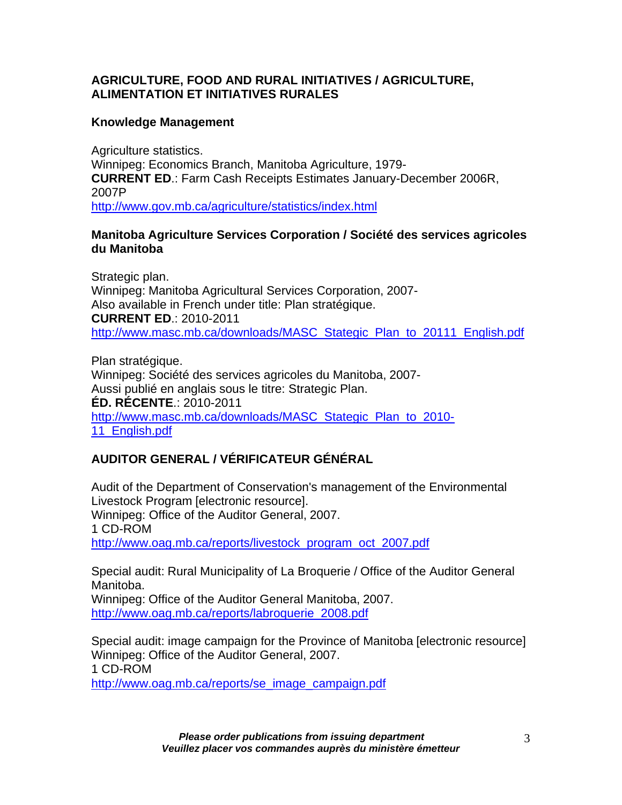# **AGRICULTURE, FOOD AND RURAL INITIATIVES / AGRICULTURE, ALIMENTATION ET INITIATIVES RURALES**

# **Knowledge Management**

Agriculture statistics. Winnipeg: Economics Branch, Manitoba Agriculture, 1979- **CURRENT ED**.: Farm Cash Receipts Estimates January-December 2006R, 2007P [http://www.gov.mb.ca/agriculture/statistics/index.html](https://www.gov.mb.ca/agriculture/statistics/index.html)

# **Manitoba Agriculture Services Corporation / Société des services agricoles du Manitoba**

Strategic plan. Winnipeg: Manitoba Agricultural Services Corporation, 2007- Also available in French under title: Plan stratégique. **CURRENT ED**.: 2010-2011 [http://www.masc.mb.ca/downloads/MASC\\_Stategic\\_Plan\\_to\\_20111\\_English.pdf](http://www.masc.mb.ca/downloads/MASC_Stategic_Plan_to_20111_English.pdf)

Plan stratégique. Winnipeg: Société des services agricoles du Manitoba, 2007- Aussi publié en anglais sous le titre: Strategic Plan. **ÉD. RÉCENTE**.: 2010-2011 [http://www.masc.mb.ca/downloads/MASC\\_Stategic\\_Plan\\_to\\_2010-](http://www.masc.mb.ca/downloads/MASC_Stategic_Plan_to_2010-11_English.pdf) 11 English.pdf

# **AUDITOR GENERAL / VÉRIFICATEUR GÉNÉRAL**

Audit of the Department of Conservation's management of the Environmental Livestock Program [electronic resource]. Winnipeg: Office of the Auditor General, 2007. 1 CD-ROM [http://www.oag.mb.ca/reports/livestock\\_program\\_oct\\_2007.pdf](http://www.oag.mb.ca/reports/livestock_program_oct_2007.pdf)

Special audit: Rural Municipality of La Broquerie / Office of the Auditor General Manitoba.

Winnipeg: Office of the Auditor General Manitoba, 2007. [http://www.oag.mb.ca/reports/labroquerie\\_2008.pdf](http://www.oag.mb.ca/reports/labroquerie_2008.pdf)

Special audit: image campaign for the Province of Manitoba [electronic resource] Winnipeg: Office of the Auditor General, 2007. 1 CD-ROM [http://www.oag.mb.ca/reports/se\\_image\\_campaign.pdf](http://www.oag.mb.ca/reports/se_image_campaign.pdf)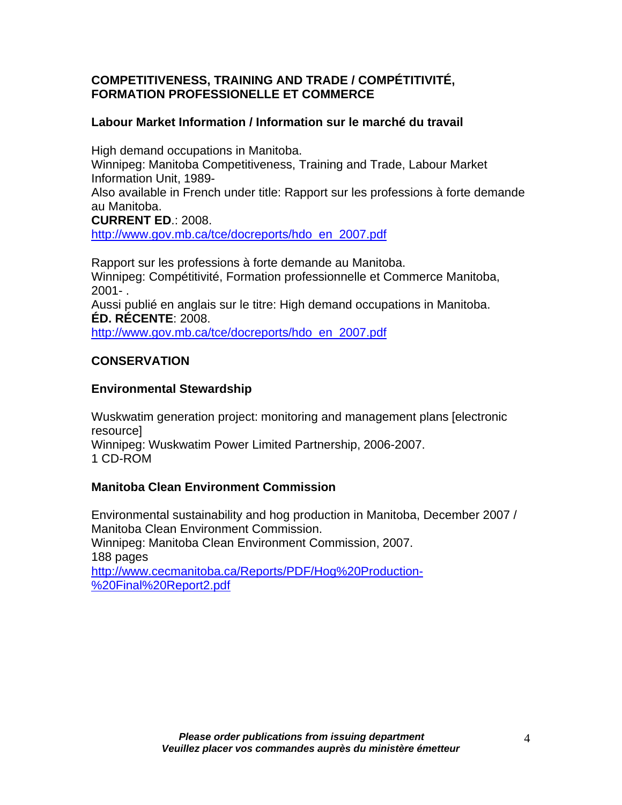# **COMPETITIVENESS, TRAINING AND TRADE / COMPÉTITIVITÉ, FORMATION PROFESSIONELLE ET COMMERCE**

# **Labour Market Information / Information sur le marché du travail**

High demand occupations in Manitoba. Winnipeg: Manitoba Competitiveness, Training and Trade, Labour Market Information Unit, 1989- Also available in French under title: Rapport sur les professions à forte demande au Manitoba.

**CURRENT ED**.: 2008.

[http://www.gov.mb.ca/tce/docreports/hdo\\_en\\_2007.pdf](https://www.gov.mb.ca/tce/docreports/hdo_en_2007.pdf)

Rapport sur les professions à forte demande au Manitoba. Winnipeg: Compétitivité, Formation professionnelle et Commerce Manitoba, 2001- .

Aussi publié en anglais sur le titre: High demand occupations in Manitoba. **ÉD. RÉCENTE**: 2008.

[http://www.gov.mb.ca/tce/docreports/hdo\\_en\\_2007.pdf](https://www.gov.mb.ca/tce/docreports/hdo_en_2007.pdf)

# **CONSERVATION**

# **Environmental Stewardship**

Wuskwatim generation project: monitoring and management plans [electronic resource] Winnipeg: Wuskwatim Power Limited Partnership, 2006-2007. 1 CD-ROM

# **Manitoba Clean Environment Commission**

Environmental sustainability and hog production in Manitoba, December 2007 / Manitoba Clean Environment Commission. Winnipeg: Manitoba Clean Environment Commission, 2007. 188 pages [http://www.cecmanitoba.ca/Reports/PDF/Hog%20Production-](http://www.cecmanitoba.ca/Reports/PDF/Hog%20Production-%20Final%20Report2.pdf) [%20Final%20Report2.pdf](http://www.cecmanitoba.ca/Reports/PDF/Hog%20Production-%20Final%20Report2.pdf)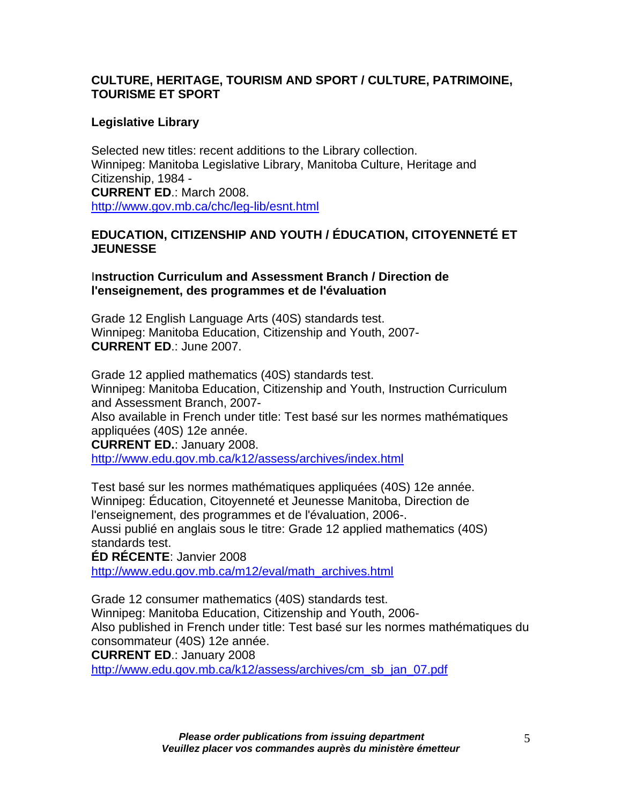# **CULTURE, HERITAGE, TOURISM AND SPORT / CULTURE, PATRIMOINE, TOURISME ET SPORT**

# **Legislative Library**

Selected new titles: recent additions to the Library collection. Winnipeg: Manitoba Legislative Library, Manitoba Culture, Heritage and Citizenship, 1984 - **CURRENT ED**.: March 2008. [http://www.gov.mb.ca/chc/leg-lib/esnt.html](https://www.gov.mb.ca/chc/leg-lib/esnt.html)

## **EDUCATION, CITIZENSHIP AND YOUTH / ÉDUCATION, CITOYENNETÉ ET JEUNESSE**

I**nstruction Curriculum and Assessment Branch / Direction de l'enseignement, des programmes et de l'évaluation** 

Grade 12 English Language Arts (40S) standards test. Winnipeg: Manitoba Education, Citizenship and Youth, 2007- **CURRENT ED**.: June 2007.

Grade 12 applied mathematics (40S) standards test. Winnipeg: Manitoba Education, Citizenship and Youth, Instruction Curriculum and Assessment Branch, 2007-

Also available in French under title: Test basé sur les normes mathématiques appliquées (40S) 12e année.

**CURRENT ED.**: January 2008.

<http://www.edu.gov.mb.ca/k12/assess/archives/index.html>

Test basé sur les normes mathématiques appliquées (40S) 12e année. Winnipeg: Éducation, Citoyenneté et Jeunesse Manitoba, Direction de l'enseignement, des programmes et de l'évaluation, 2006-.

Aussi publié en anglais sous le titre: Grade 12 applied mathematics (40S) standards test.

**ÉD RÉCENTE**: Janvier 2008

[http://www.edu.gov.mb.ca/m12/eval/math\\_archives.html](http://www.edu.gov.mb.ca/m12/eval/math_archives.html)

Grade 12 consumer mathematics (40S) standards test. Winnipeg: Manitoba Education, Citizenship and Youth, 2006- Also published in French under title: Test basé sur les normes mathématiques du consommateur (40S) 12e année.

**CURRENT ED**.: January 2008

[http://www.edu.gov.mb.ca/k12/assess/archives/cm\\_sb\\_jan\\_07.pdf](http://www.edu.gov.mb.ca/k12/assess/archives/cm_sb_jan_07.pdf)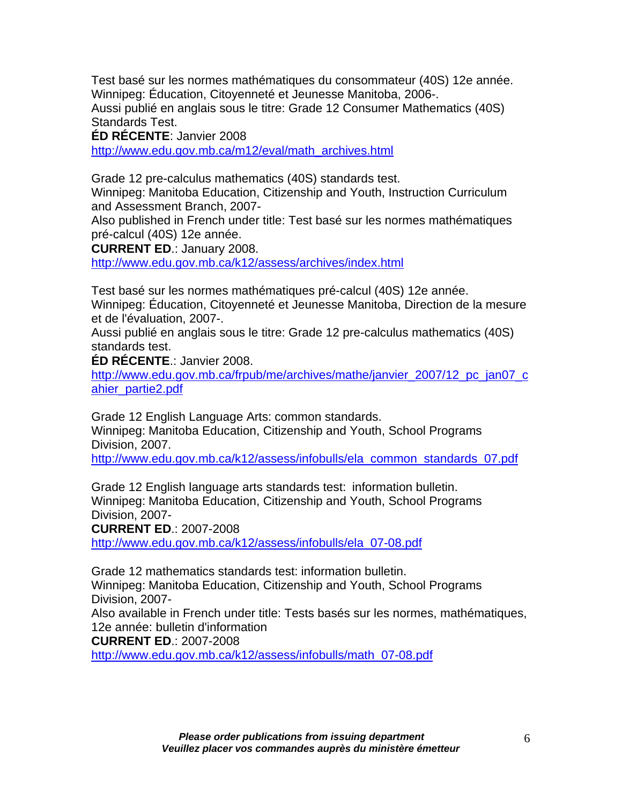Test basé sur les normes mathématiques du consommateur (40S) 12e année. Winnipeg: Éducation, Citoyenneté et Jeunesse Manitoba, 2006-. Aussi publié en anglais sous le titre: Grade 12 Consumer Mathematics (40S) Standards Test.

**ÉD RÉCENTE**: Janvier 2008

[http://www.edu.gov.mb.ca/m12/eval/math\\_archives.html](http://www.edu.gov.mb.ca/m12/eval/math_archives.html)

Grade 12 pre-calculus mathematics (40S) standards test.

Winnipeg: Manitoba Education, Citizenship and Youth, Instruction Curriculum and Assessment Branch, 2007-

Also published in French under title: Test basé sur les normes mathématiques pré-calcul (40S) 12e année.

**CURRENT ED**.: January 2008.

<http://www.edu.gov.mb.ca/k12/assess/archives/index.html>

Test basé sur les normes mathématiques pré-calcul (40S) 12e année. Winnipeg: Éducation, Citoyenneté et Jeunesse Manitoba, Direction de la mesure et de l'évaluation, 2007-.

Aussi publié en anglais sous le titre: Grade 12 pre-calculus mathematics (40S) standards test.

**ÉD RÉCENTE**.: Janvier 2008.

[http://www.edu.gov.mb.ca/frpub/me/archives/mathe/janvier\\_2007/12\\_pc\\_jan07\\_c](http://www.edu.gov.mb.ca/frpub/me/archives/mathe/janvier_2007/12_pc_jan07_cahier_partie2.pdf)\_ [ahier\\_partie2.pdf](http://www.edu.gov.mb.ca/frpub/me/archives/mathe/janvier_2007/12_pc_jan07_cahier_partie2.pdf)

Grade 12 English Language Arts: common standards. Winnipeg: Manitoba Education, Citizenship and Youth, School Programs Division, 2007.

[http://www.edu.gov.mb.ca/k12/assess/infobulls/ela\\_common\\_standards\\_07.pdf](http://www.edu.gov.mb.ca/k12/assess/infobulls/ela_common_standards_07.pdf)

Grade 12 English language arts standards test: information bulletin. Winnipeg: Manitoba Education, Citizenship and Youth, School Programs Division, 2007-

**CURRENT ED**.: 2007-2008

[http://www.edu.gov.mb.ca/k12/assess/infobulls/ela\\_07-08.pdf](http://www.edu.gov.mb.ca/k12/assess/infobulls/ela_07-08.pdf)

Grade 12 mathematics standards test: information bulletin. Winnipeg: Manitoba Education, Citizenship and Youth, School Programs Division, 2007- Also available in French under title: Tests basés sur les normes, mathématiques,

12e année: bulletin d'information

**CURRENT ED**.: 2007-2008

[http://www.edu.gov.mb.ca/k12/assess/infobulls/math\\_07-08.pdf](http://www.edu.gov.mb.ca/k12/assess/infobulls/math_07-08.pdf)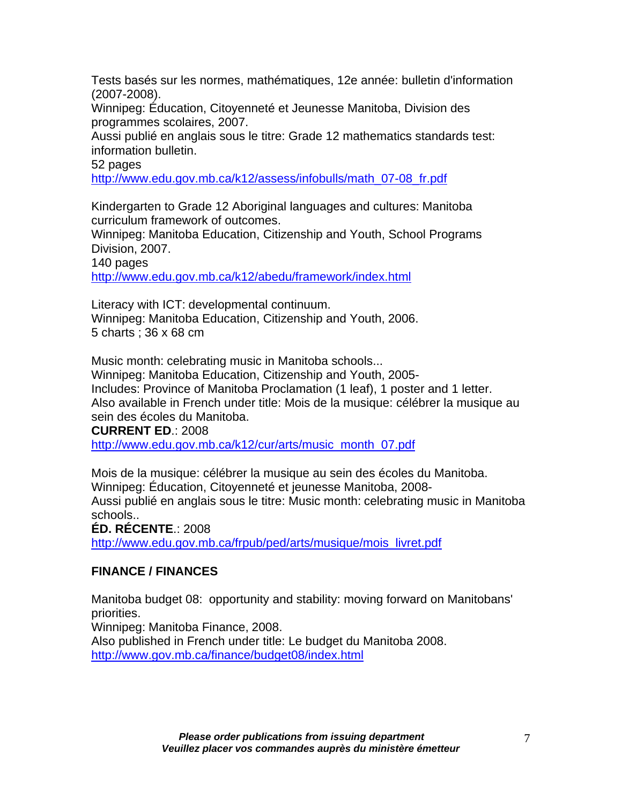Tests basés sur les normes, mathématiques, 12e année: bulletin d'information (2007-2008).

Winnipeg: Éducation, Citoyenneté et Jeunesse Manitoba, Division des programmes scolaires, 2007.

Aussi publié en anglais sous le titre: Grade 12 mathematics standards test: information bulletin.

52 pages

[http://www.edu.gov.mb.ca/k12/assess/infobulls/math\\_07-08\\_fr.pdf](http://www.edu.gov.mb.ca/k12/assess/infobulls/math_07-08_fr.pdf)

Kindergarten to Grade 12 Aboriginal languages and cultures: Manitoba curriculum framework of outcomes.

Winnipeg: Manitoba Education, Citizenship and Youth, School Programs Division, 2007.

140 pages

<http://www.edu.gov.mb.ca/k12/abedu/framework/index.html>

Literacy with ICT: developmental continuum. Winnipeg: Manitoba Education, Citizenship and Youth, 2006. 5 charts ; 36 x 68 cm

Music month: celebrating music in Manitoba schools... Winnipeg: Manitoba Education, Citizenship and Youth, 2005- Includes: Province of Manitoba Proclamation (1 leaf), 1 poster and 1 letter. Also available in French under title: Mois de la musique: célébrer la musique au sein des écoles du Manitoba. **CURRENT ED**.: 2008

[http://www.edu.gov.mb.ca/k12/cur/arts/music\\_month\\_07.pdf](http://www.edu.gov.mb.ca/k12/cur/arts/music_month_07.pdf)

Mois de la musique: célébrer la musique au sein des écoles du Manitoba. Winnipeg: Éducation, Citoyenneté et jeunesse Manitoba, 2008- Aussi publié en anglais sous le titre: Music month: celebrating music in Manitoba schools.. **ÉD. RÉCENTE**.: 2008

[http://www.edu.gov.mb.ca/frpub/ped/arts/musique/mois\\_livret.pdf](http://www.edu.gov.mb.ca/frpub/ped/arts/musique/mois_livret.pdf)

# **FINANCE / FINANCES**

Manitoba budget 08: opportunity and stability: moving forward on Manitobans' priorities.

Winnipeg: Manitoba Finance, 2008.

Also published in French under title: Le budget du Manitoba 2008. [http://www.gov.mb.ca/finance/budget08/index.html](https://www.gov.mb.ca/finance/budget08/index.html)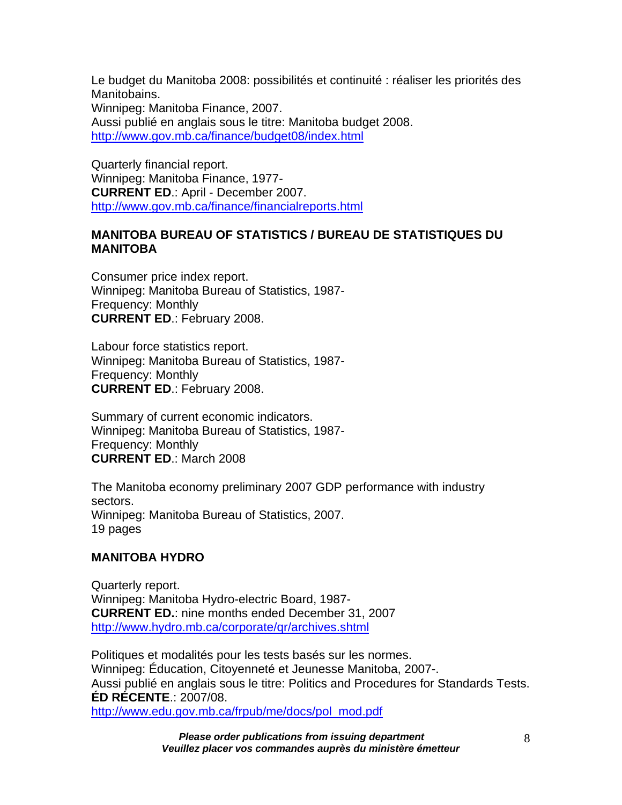Le budget du Manitoba 2008: possibilités et continuité : réaliser les priorités des Manitobains. Winnipeg: Manitoba Finance, 2007. Aussi publié en anglais sous le titre: Manitoba budget 2008. [http://www.gov.mb.ca/finance/budget08/index.html](https://www.gov.mb.ca/finance/budget08/index.html)

Quarterly financial report. Winnipeg: Manitoba Finance, 1977- **CURRENT ED**.: April - December 2007. [http://www.gov.mb.ca/finance/financialreports.html](https://www.gov.mb.ca/finance/financialreports.html)

# **MANITOBA BUREAU OF STATISTICS / BUREAU DE STATISTIQUES DU MANITOBA**

Consumer price index report. Winnipeg: Manitoba Bureau of Statistics, 1987- Frequency: Monthly **CURRENT ED**.: February 2008.

Labour force statistics report. Winnipeg: Manitoba Bureau of Statistics, 1987- Frequency: Monthly **CURRENT ED**.: February 2008.

Summary of current economic indicators. Winnipeg: Manitoba Bureau of Statistics, 1987- Frequency: Monthly **CURRENT ED**.: March 2008

The Manitoba economy preliminary 2007 GDP performance with industry sectors. Winnipeg: Manitoba Bureau of Statistics, 2007. 19 pages

### **MANITOBA HYDRO**

Quarterly report. Winnipeg: Manitoba Hydro-electric Board, 1987- **CURRENT ED.**: nine months ended December 31, 2007 <http://www.hydro.mb.ca/corporate/qr/archives.shtml>

Politiques et modalités pour les tests basés sur les normes. Winnipeg: Éducation, Citoyenneté et Jeunesse Manitoba, 2007-. Aussi publié en anglais sous le titre: Politics and Procedures for Standards Tests. **ÉD RÉCENTE**.: 2007/08. [http://www.edu.gov.mb.ca/frpub/me/docs/pol\\_mod.pdf](http://www.edu.gov.mb.ca/frpub/me/docs/pol_mod.pdf)

> *Please order publications from issuing department Veuillez placer vos commandes auprès du ministère émetteur*